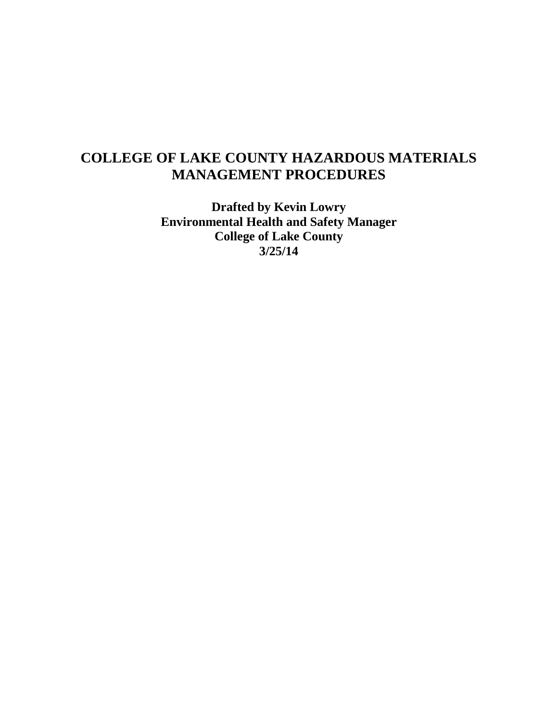# **COLLEGE OF LAKE COUNTY HAZARDOUS MATERIALS MANAGEMENT PROCEDURES**

**Drafted by Kevin Lowry Environmental Health and Safety Manager College of Lake County 3/25/14**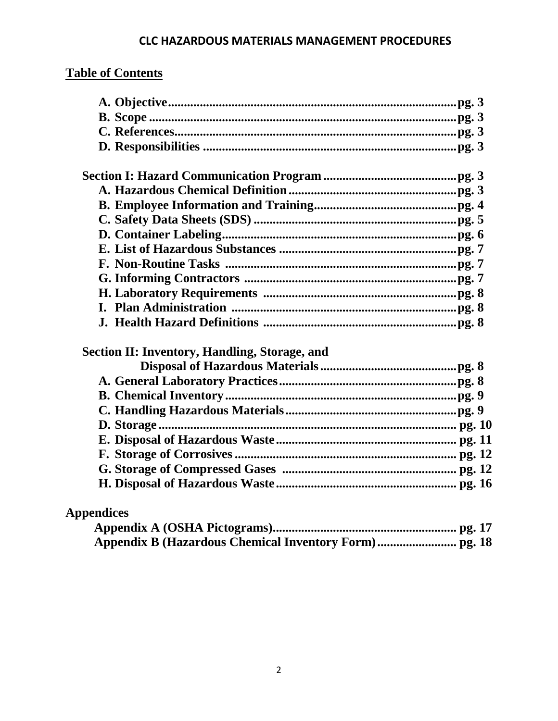# **Table of Contents**

| Section II: Inventory, Handling, Storage, and |  |
|-----------------------------------------------|--|
|                                               |  |
|                                               |  |
|                                               |  |
|                                               |  |
|                                               |  |
|                                               |  |
|                                               |  |
|                                               |  |
|                                               |  |
|                                               |  |

# **Appendices**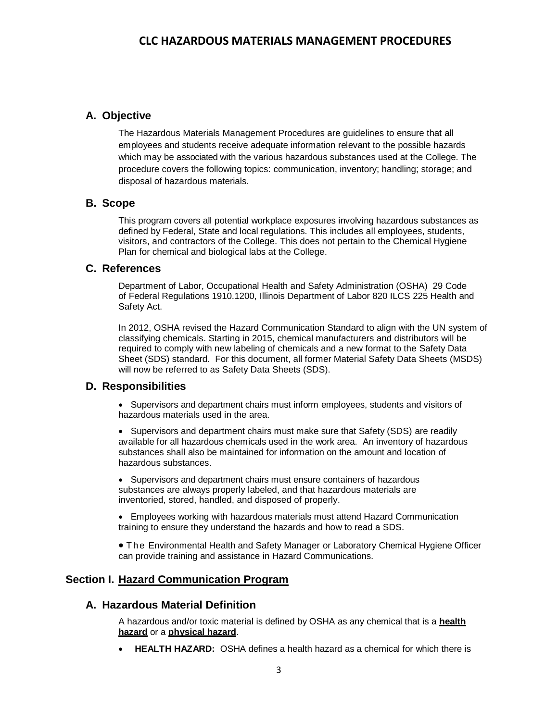### **A. Objective**

The Hazardous Materials Management Procedures are guidelines to ensure that all employees and students receive adequate information relevant to the possible hazards which may be associated with the various hazardous substances used at the College. The procedure covers the following topics: communication, inventory; handling; storage; and disposal of hazardous materials.

#### **B. Scope**

This program covers all potential workplace exposures involving hazardous substances as defined by Federal, State and local regulations. This includes all employees, students, visitors, and contractors of the College. This does not pertain to the Chemical Hygiene Plan for chemical and biological labs at the College.

### **C. References**

Department of Labor, Occupational Health and Safety Administration (OSHA) 29 Code of Federal Regulations 1910.1200, Illinois Department of Labor 820 ILCS 225 Health and Safety Act.

In 2012, OSHA revised the Hazard Communication Standard to align with the UN system of classifying chemicals. Starting in 2015, chemical manufacturers and distributors will be required to comply with new labeling of chemicals and a new format to the Safety Data Sheet (SDS) standard. For this document, all former Material Safety Data Sheets (MSDS) will now be referred to as Safety Data Sheets (SDS).

### **D. Responsibilities**

• Supervisors and department chairs must inform employees, students and visitors of hazardous materials used in the area.

 Supervisors and department chairs must make sure that Safety (SDS) are readily available for all hazardous chemicals used in the work area. An inventory of hazardous substances shall also be maintained for information on the amount and location of hazardous substances.

 Supervisors and department chairs must ensure containers of hazardous substances are always properly labeled, and that hazardous materials are inventoried, stored, handled, and disposed of properly.

 Employees working with hazardous materials must attend Hazard Communication training to ensure they understand the hazards and how to read a SDS.

• The Environmental Health and Safety Manager or Laboratory Chemical Hygiene Officer can provide training and assistance in Hazard Communications.

### **Section I. Hazard Communication Program**

### **A. Hazardous Material Definition**

A hazardous and/or toxic material is defined by OSHA as any chemical that is a **health hazard** or a **physical hazard**.

**HEALTH HAZARD:** OSHA defines a health hazard as a chemical for which there is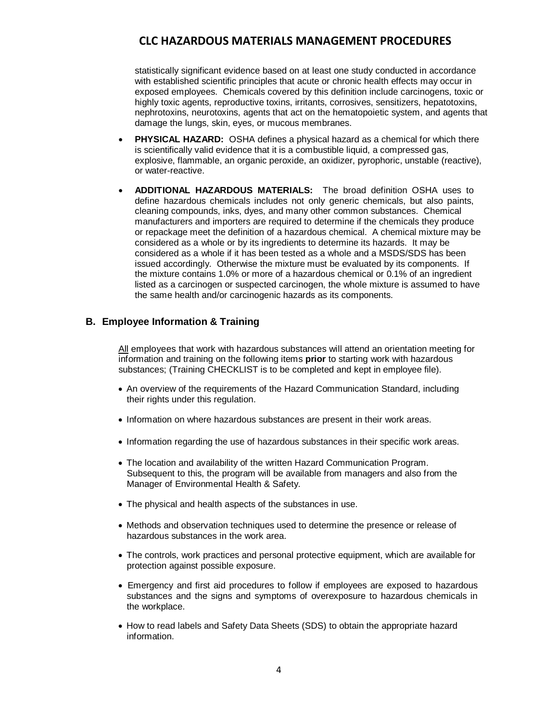statistically significant evidence based on at least one study conducted in accordance with established scientific principles that acute or chronic health effects may occur in exposed employees. Chemicals covered by this definition include carcinogens, toxic or highly toxic agents, reproductive toxins, irritants, corrosives, sensitizers, hepatotoxins, nephrotoxins, neurotoxins, agents that act on the hematopoietic system, and agents that damage the lungs, skin, eyes, or mucous membranes.

- **PHYSICAL HAZARD:** OSHA defines a physical hazard as a chemical for which there is scientifically valid evidence that it is a combustible liquid, a compressed gas, explosive, flammable, an organic peroxide, an oxidizer, pyrophoric, unstable (reactive), or water-reactive.
- **ADDITIONAL HAZARDOUS MATERIALS:** The broad definition OSHA uses to define hazardous chemicals includes not only generic chemicals, but also paints, cleaning compounds, inks, dyes, and many other common substances. Chemical manufacturers and importers are required to determine if the chemicals they produce or repackage meet the definition of a hazardous chemical. A chemical mixture may be considered as a whole or by its ingredients to determine its hazards. It may be considered as a whole if it has been tested as a whole and a MSDS/SDS has been issued accordingly. Otherwise the mixture must be evaluated by its components. If the mixture contains 1.0% or more of a hazardous chemical or 0.1% of an ingredient listed as a carcinogen or suspected carcinogen, the whole mixture is assumed to have the same health and/or carcinogenic hazards as its components.

### **B. Employee Information & Training**

All employees that work with hazardous substances will attend an orientation meeting for information and training on the following items **prior** to starting work with hazardous substances; (Training CHECKLIST is to be completed and kept in employee file).

- An overview of the requirements of the Hazard Communication Standard, including their rights under this regulation.
- Information on where hazardous substances are present in their work areas.
- Information regarding the use of hazardous substances in their specific work areas.
- The location and availability of the written Hazard Communication Program. Subsequent to this, the program will be available from managers and also from the Manager of Environmental Health & Safety.
- The physical and health aspects of the substances in use.
- Methods and observation techniques used to determine the presence or release of hazardous substances in the work area.
- The controls, work practices and personal protective equipment, which are available for protection against possible exposure.
- Emergency and first aid procedures to follow if employees are exposed to hazardous substances and the signs and symptoms of overexposure to hazardous chemicals in the workplace.
- How to read labels and Safety Data Sheets (SDS) to obtain the appropriate hazard information.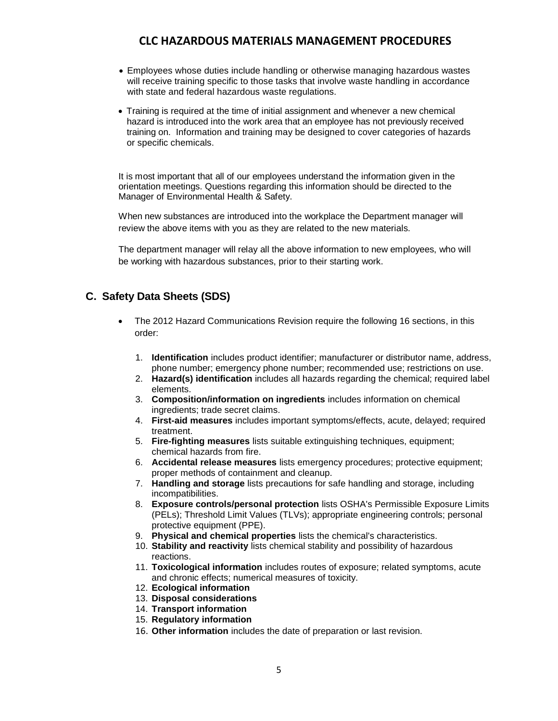- Employees whose duties include handling or otherwise managing hazardous wastes will receive training specific to those tasks that involve waste handling in accordance with state and federal hazardous waste regulations.
- Training is required at the time of initial assignment and whenever a new chemical hazard is introduced into the work area that an employee has not previously received training on. Information and training may be designed to cover categories of hazards or specific chemicals.

It is most important that all of our employees understand the information given in the orientation meetings. Questions regarding this information should be directed to the Manager of Environmental Health & Safety.

When new substances are introduced into the workplace the Department manager will review the above items with you as they are related to the new materials.

The department manager will relay all the above information to new employees, who will be working with hazardous substances, prior to their starting work.

### **C. Safety Data Sheets (SDS)**

- The 2012 Hazard Communications Revision require the following 16 sections, in this order:
	- 1. **Identification** includes product identifier; manufacturer or distributor name, address, phone number; emergency phone number; recommended use; restrictions on use.
	- 2. **Hazard(s) identification** includes all hazards regarding the chemical; required label elements.
	- 3. **Composition/information on ingredients** includes information on chemical ingredients; trade secret claims.
	- 4. **First-aid measures** includes important symptoms/effects, acute, delayed; required treatment.
	- 5. **Fire-fighting measures** lists suitable extinguishing techniques, equipment; chemical hazards from fire.
	- 6. **Accidental release measures** lists emergency procedures; protective equipment; proper methods of containment and cleanup.
	- 7. **Handling and storage** lists precautions for safe handling and storage, including incompatibilities.
	- 8. **Exposure controls/personal protection** lists OSHA's Permissible Exposure Limits (PELs); Threshold Limit Values (TLVs); appropriate engineering controls; personal protective equipment (PPE).
	- 9. **Physical and chemical properties** lists the chemical's characteristics.
	- 10. **Stability and reactivity** lists chemical stability and possibility of hazardous reactions.
	- 11. **Toxicological information** includes routes of exposure; related symptoms, acute and chronic effects; numerical measures of toxicity.
	- 12. **Ecological information**
	- 13. **Disposal considerations**
	- 14. **Transport information**
	- 15. **Regulatory information**
	- 16. **Other information** includes the date of preparation or last revision.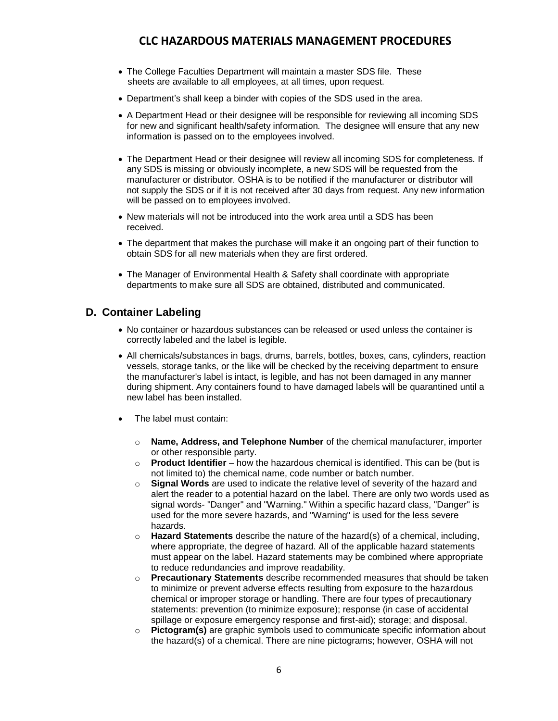- The College Faculties Department will maintain a master SDS file. These sheets are available to all employees, at all times, upon request.
- Department's shall keep a binder with copies of the SDS used in the area.
- A Department Head or their designee will be responsible for reviewing all incoming SDS for new and significant health/safety information. The designee will ensure that any new information is passed on to the employees involved.
- The Department Head or their designee will review all incoming SDS for completeness. If any SDS is missing or obviously incomplete, a new SDS will be requested from the manufacturer or distributor. OSHA is to be notified if the manufacturer or distributor will not supply the SDS or if it is not received after 30 days from request. Any new information will be passed on to employees involved.
- New materials will not be introduced into the work area until a SDS has been received.
- The department that makes the purchase will make it an ongoing part of their function to obtain SDS for all new materials when they are first ordered.
- The Manager of Environmental Health & Safety shall coordinate with appropriate departments to make sure all SDS are obtained, distributed and communicated.

#### **D. Container Labeling**

- No container or hazardous substances can be released or used unless the container is correctly labeled and the label is legible.
- All chemicals/substances in bags, drums, barrels, bottles, boxes, cans, cylinders, reaction vessels, storage tanks, or the like will be checked by the receiving department to ensure the manufacturer's label is intact, is legible, and has not been damaged in any manner during shipment. Any containers found to have damaged labels will be quarantined until a new label has been installed.
- The label must contain:
	- o **Name, Address, and Telephone Number** of the chemical manufacturer, importer or other responsible party.
	- o **Product Identifier** how the hazardous chemical is identified. This can be (but is not limited to) the chemical name, code number or batch number.
	- o **Signal Words** are used to indicate the relative level of severity of the hazard and alert the reader to a potential hazard on the label. There are only two words used as signal words- "Danger" and "Warning." Within a specific hazard class, "Danger" is used for the more severe hazards, and "Warning" is used for the less severe hazards.
	- o **Hazard Statements** describe the nature of the hazard(s) of a chemical, including, where appropriate, the degree of hazard. All of the applicable hazard statements must appear on the label. Hazard statements may be combined where appropriate to reduce redundancies and improve readability.
	- o **Precautionary Statements** describe recommended measures that should be taken to minimize or prevent adverse effects resulting from exposure to the hazardous chemical or improper storage or handling. There are four types of precautionary statements: prevention (to minimize exposure); response (in case of accidental spillage or exposure emergency response and first-aid); storage; and disposal.
	- o **Pictogram(s)** are graphic symbols used to communicate specific information about the hazard(s) of a chemical. There are nine pictograms; however, OSHA will not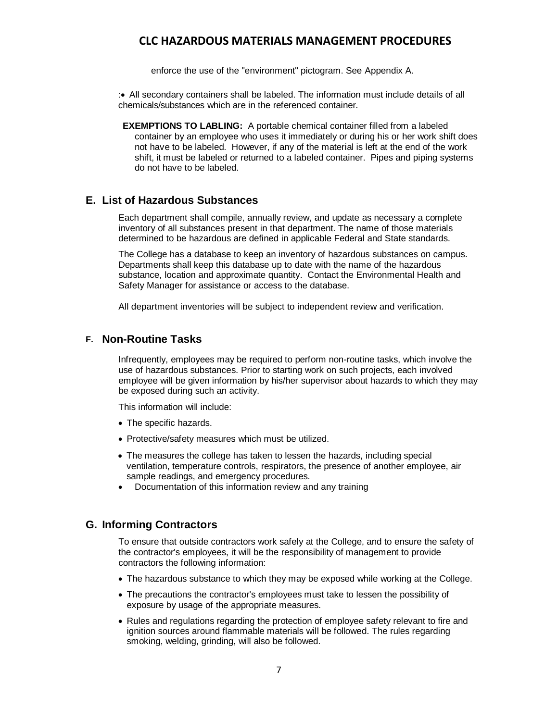enforce the use of the "environment" pictogram. See Appendix A.

: All secondary containers shall be labeled. The information must include details of all chemicals/substances which are in the referenced container.

**EXEMPTIONS TO LABLING:** A portable chemical container filled from a labeled container by an employee who uses it immediately or during his or her work shift does not have to be labeled. However, if any of the material is left at the end of the work shift, it must be labeled or returned to a labeled container. Pipes and piping systems do not have to be labeled.

#### **E. List of Hazardous Substances**

Each department shall compile, annually review, and update as necessary a complete inventory of all substances present in that department. The name of those materials determined to be hazardous are defined in applicable Federal and State standards.

The College has a database to keep an inventory of hazardous substances on campus. Departments shall keep this database up to date with the name of the hazardous substance, location and approximate quantity. Contact the Environmental Health and Safety Manager for assistance or access to the database.

All department inventories will be subject to independent review and verification.

#### **F. Non-Routine Tasks**

Infrequently, employees may be required to perform non-routine tasks, which involve the use of hazardous substances. Prior to starting work on such projects, each involved employee will be given information by his/her supervisor about hazards to which they may be exposed during such an activity.

This information will include:

- The specific hazards.
- Protective/safety measures which must be utilized.
- The measures the college has taken to lessen the hazards, including special ventilation, temperature controls, respirators, the presence of another employee, air sample readings, and emergency procedures.
- Documentation of this information review and any training

#### **G. Informing Contractors**

To ensure that outside contractors work safely at the College, and to ensure the safety of the contractor's employees, it will be the responsibility of management to provide contractors the following information:

- The hazardous substance to which they may be exposed while working at the College.
- The precautions the contractor's employees must take to lessen the possibility of exposure by usage of the appropriate measures.
- Rules and regulations regarding the protection of employee safety relevant to fire and ignition sources around flammable materials will be followed. The rules regarding smoking, welding, grinding, will also be followed.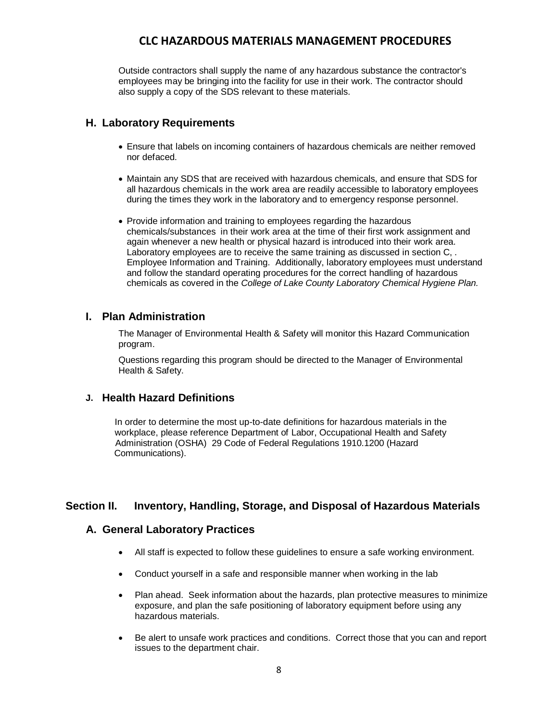Outside contractors shall supply the name of any hazardous substance the contractor's employees may be bringing into the facility for use in their work. The contractor should also supply a copy of the SDS relevant to these materials.

### **H. Laboratory Requirements**

- Ensure that labels on incoming containers of hazardous chemicals are neither removed nor defaced.
- Maintain any SDS that are received with hazardous chemicals, and ensure that SDS for all hazardous chemicals in the work area are readily accessible to laboratory employees during the times they work in the laboratory and to emergency response personnel.
- Provide information and training to employees regarding the hazardous chemicals/substances in their work area at the time of their first work assignment and again whenever a new health or physical hazard is introduced into their work area. Laboratory employees are to receive the same training as discussed in section C, . Employee Information and Training. Additionally, laboratory employees must understand and follow the standard operating procedures for the correct handling of hazardous chemicals as covered in the *College of Lake County Laboratory Chemical Hygiene Plan.*

### **I. Plan Administration**

The Manager of Environmental Health & Safety will monitor this Hazard Communication program.

Questions regarding this program should be directed to the Manager of Environmental Health & Safety.

### **J. Health Hazard Definitions**

In order to determine the most up-to-date definitions for hazardous materials in the workplace, please reference Department of Labor, Occupational Health and Safety Administration (OSHA) 29 Code of Federal Regulations 1910.1200 (Hazard Communications).

### **Section II. Inventory, Handling, Storage, and Disposal of Hazardous Materials**

### **A. General Laboratory Practices**

- All staff is expected to follow these guidelines to ensure a safe working environment.
- Conduct yourself in a safe and responsible manner when working in the lab
- Plan ahead. Seek information about the hazards, plan protective measures to minimize exposure, and plan the safe positioning of laboratory equipment before using any hazardous materials.
- Be alert to unsafe work practices and conditions. Correct those that you can and report issues to the department chair.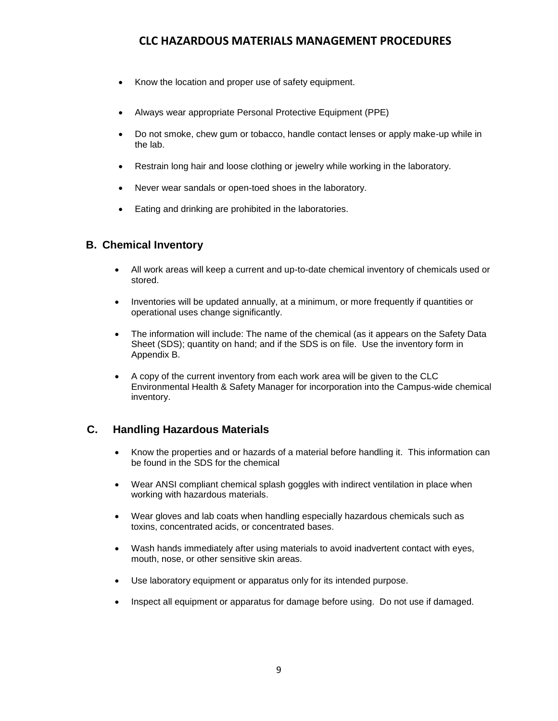- Know the location and proper use of safety equipment.
- Always wear appropriate Personal Protective Equipment (PPE)
- Do not smoke, chew gum or tobacco, handle contact lenses or apply make-up while in the lab.
- Restrain long hair and loose clothing or jewelry while working in the laboratory.
- Never wear sandals or open-toed shoes in the laboratory.
- Eating and drinking are prohibited in the laboratories.

### **B. Chemical Inventory**

- All work areas will keep a current and up-to-date chemical inventory of chemicals used or stored.
- Inventories will be updated annually, at a minimum, or more frequently if quantities or operational uses change significantly.
- The information will include: The name of the chemical (as it appears on the Safety Data Sheet (SDS); quantity on hand; and if the SDS is on file. Use the inventory form in Appendix B.
- A copy of the current inventory from each work area will be given to the CLC Environmental Health & Safety Manager for incorporation into the Campus-wide chemical inventory.

### **C. Handling Hazardous Materials**

- Know the properties and or hazards of a material before handling it. This information can be found in the SDS for the chemical
- Wear ANSI compliant chemical splash goggles with indirect ventilation in place when working with hazardous materials.
- Wear gloves and lab coats when handling especially hazardous chemicals such as toxins, concentrated acids, or concentrated bases.
- Wash hands immediately after using materials to avoid inadvertent contact with eyes, mouth, nose, or other sensitive skin areas.
- Use laboratory equipment or apparatus only for its intended purpose.
- Inspect all equipment or apparatus for damage before using. Do not use if damaged.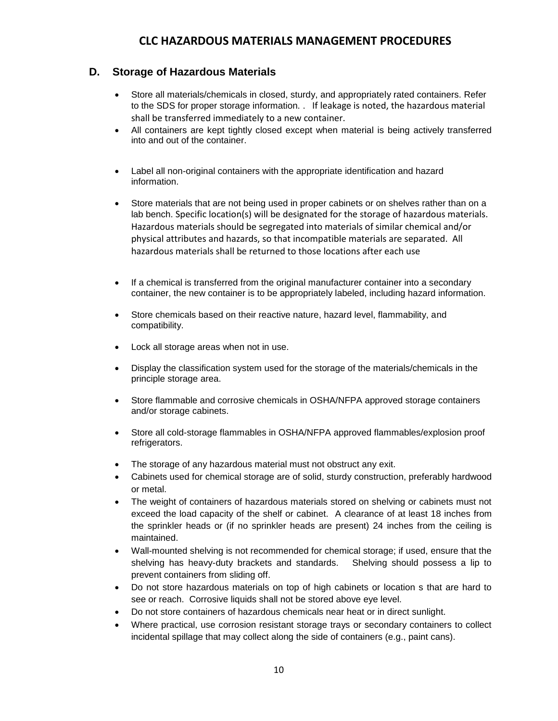### **D. Storage of Hazardous Materials**

- Store all materials/chemicals in closed, sturdy, and appropriately rated containers. Refer to the SDS for proper storage information. . If leakage is noted, the hazardous material shall be transferred immediately to a new container.
- All containers are kept tightly closed except when material is being actively transferred into and out of the container.
- Label all non-original containers with the appropriate identification and hazard information.
- Store materials that are not being used in proper cabinets or on shelves rather than on a lab bench. Specific location(s) will be designated for the storage of hazardous materials. Hazardous materials should be segregated into materials of similar chemical and/or physical attributes and hazards, so that incompatible materials are separated. All hazardous materials shall be returned to those locations after each use
- If a chemical is transferred from the original manufacturer container into a secondary container, the new container is to be appropriately labeled, including hazard information.
- Store chemicals based on their reactive nature, hazard level, flammability, and compatibility.
- Lock all storage areas when not in use.
- Display the classification system used for the storage of the materials/chemicals in the principle storage area.
- Store flammable and corrosive chemicals in OSHA/NFPA approved storage containers and/or storage cabinets.
- Store all cold-storage flammables in OSHA/NFPA approved flammables/explosion proof refrigerators.
- The storage of any hazardous material must not obstruct any exit.
- Cabinets used for chemical storage are of solid, sturdy construction, preferably hardwood or metal.
- The weight of containers of hazardous materials stored on shelving or cabinets must not exceed the load capacity of the shelf or cabinet. A clearance of at least 18 inches from the sprinkler heads or (if no sprinkler heads are present) 24 inches from the ceiling is maintained.
- Wall-mounted shelving is not recommended for chemical storage; if used, ensure that the shelving has heavy-duty brackets and standards. Shelving should possess a lip to prevent containers from sliding off.
- Do not store hazardous materials on top of high cabinets or location s that are hard to see or reach. Corrosive liquids shall not be stored above eye level.
- Do not store containers of hazardous chemicals near heat or in direct sunlight.
- Where practical, use corrosion resistant storage trays or secondary containers to collect incidental spillage that may collect along the side of containers (e.g., paint cans).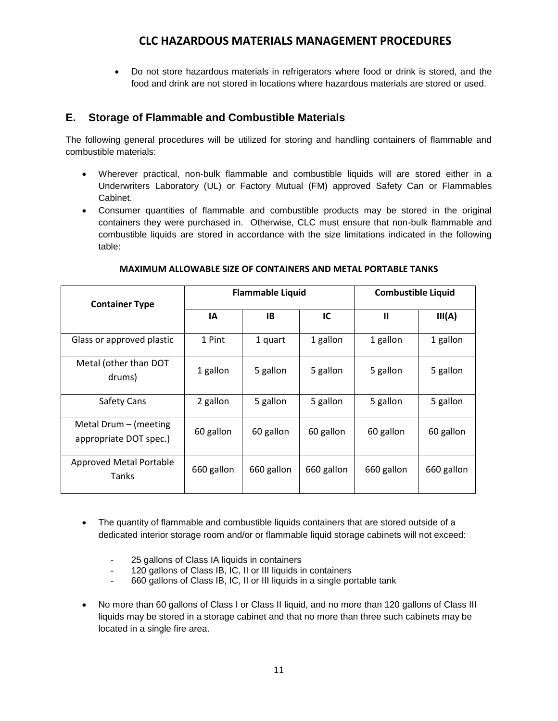Do not store hazardous materials in refrigerators where food or drink is stored, and the food and drink are not stored in locations where hazardous materials are stored or used.

### **E. Storage of Flammable and Combustible Materials**

The following general procedures will be utilized for storing and handling containers of flammable and combustible materials:

- Wherever practical, non-bulk flammable and combustible liquids will are stored either in a Underwriters Laboratory (UL) or Factory Mutual (FM) approved Safety Can or Flammables Cabinet.
- Consumer quantities of flammable and combustible products may be stored in the original containers they were purchased in. Otherwise, CLC must ensure that non-bulk flammable and combustible liquids are stored in accordance with the size limitations indicated in the following table:

| <b>Container Type</b>                             |            | <b>Flammable Liquid</b> | <b>Combustible Liquid</b> |            |            |
|---------------------------------------------------|------------|-------------------------|---------------------------|------------|------------|
|                                                   | ΙA         | <b>IB</b>               | IC                        | Ш          | III(A)     |
| Glass or approved plastic                         | 1 Pint     | 1 quart                 | 1 gallon                  | 1 gallon   | 1 gallon   |
| Metal (other than DOT<br>drums)                   | 1 gallon   | 5 gallon                | 5 gallon                  | 5 gallon   | 5 gallon   |
| <b>Safety Cans</b>                                | 2 gallon   | 5 gallon                | 5 gallon                  | 5 gallon   | 5 gallon   |
| Metal Drum $-$ (meeting<br>appropriate DOT spec.) | 60 gallon  | 60 gallon               | 60 gallon                 | 60 gallon  | 60 gallon  |
| Approved Metal Portable<br>Tanks                  | 660 gallon | 660 gallon              | 660 gallon                | 660 gallon | 660 gallon |

#### **MAXIMUM ALLOWABLE SIZE OF CONTAINERS AND METAL PORTABLE TANKS**

- The quantity of flammable and combustible liquids containers that are stored outside of a dedicated interior storage room and/or or flammable liquid storage cabinets will not exceed:
	- 25 gallons of Class IA liquids in containers
	- 120 gallons of Class IB, IC, II or III liquids in containers
	- 660 gallons of Class IB, IC, II or III liquids in a single portable tank
- No more than 60 gallons of Class I or Class II liquid, and no more than 120 gallons of Class III liquids may be stored in a storage cabinet and that no more than three such cabinets may be located in a single fire area.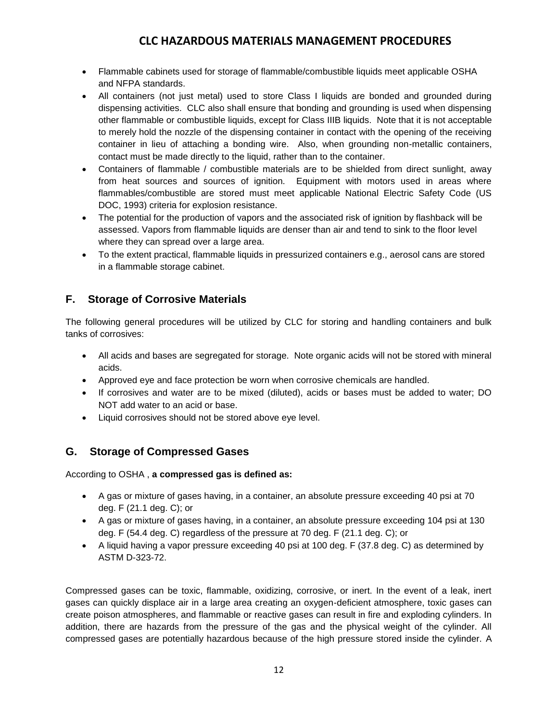- Flammable cabinets used for storage of flammable/combustible liquids meet applicable OSHA and NFPA standards.
- All containers (not just metal) used to store Class I liquids are bonded and grounded during dispensing activities. CLC also shall ensure that bonding and grounding is used when dispensing other flammable or combustible liquids, except for Class IIIB liquids. Note that it is not acceptable to merely hold the nozzle of the dispensing container in contact with the opening of the receiving container in lieu of attaching a bonding wire. Also, when grounding non-metallic containers, contact must be made directly to the liquid, rather than to the container.
- Containers of flammable / combustible materials are to be shielded from direct sunlight, away from heat sources and sources of ignition. Equipment with motors used in areas where flammables/combustible are stored must meet applicable National Electric Safety Code (US DOC, 1993) criteria for explosion resistance.
- The potential for the production of vapors and the associated risk of ignition by flashback will be assessed. Vapors from flammable liquids are denser than air and tend to sink to the floor level where they can spread over a large area.
- To the extent practical, flammable liquids in pressurized containers e.g., aerosol cans are stored in a flammable storage cabinet.

### **F. Storage of Corrosive Materials**

The following general procedures will be utilized by CLC for storing and handling containers and bulk tanks of corrosives:

- All acids and bases are segregated for storage. Note organic acids will not be stored with mineral acids.
- Approved eye and face protection be worn when corrosive chemicals are handled.
- If corrosives and water are to be mixed (diluted), acids or bases must be added to water; DO NOT add water to an acid or base.
- Liquid corrosives should not be stored above eye level.

### **G. Storage of Compressed Gases**

According to OSHA , **a compressed gas is defined as:**

- A gas or mixture of gases having, in a container, an absolute pressure exceeding 40 psi at 70 deg. F (21.1 deg. C); or
- A gas or mixture of gases having, in a container, an absolute pressure exceeding 104 psi at 130 deg. F (54.4 deg. C) regardless of the pressure at 70 deg. F (21.1 deg. C); or
- A liquid having a vapor pressure exceeding 40 psi at 100 deg. F (37.8 deg. C) as determined by ASTM D-323-72.

Compressed gases can be toxic, flammable, oxidizing, corrosive, or inert. In the event of a leak, inert gases can quickly displace air in a large area creating an oxygen-deficient atmosphere, toxic gases can create poison atmospheres, and flammable or reactive gases can result in fire and exploding cylinders. In addition, there are hazards from the pressure of the gas and the physical weight of the cylinder. All compressed gases are potentially hazardous because of the high pressure stored inside the cylinder. A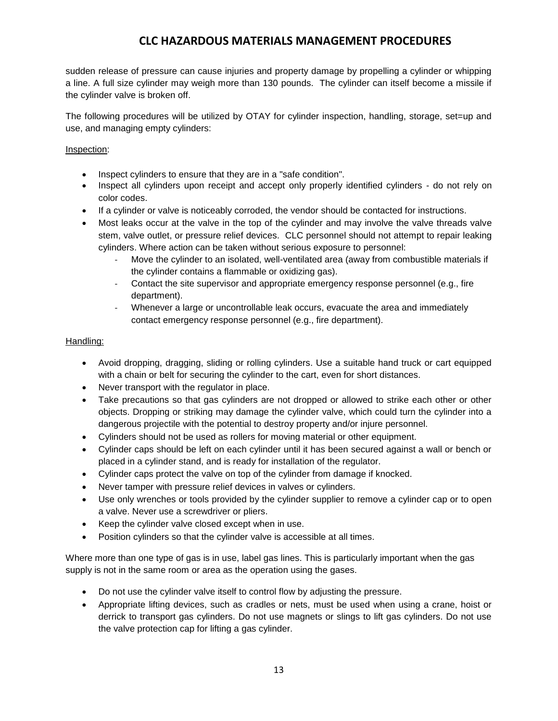sudden release of pressure can cause injuries and property damage by propelling a cylinder or whipping a line. A full size cylinder may weigh more than 130 pounds. The cylinder can itself become a missile if the cylinder valve is broken off.

The following procedures will be utilized by OTAY for cylinder inspection, handling, storage, set=up and use, and managing empty cylinders:

#### Inspection:

- Inspect cylinders to ensure that they are in a "safe condition".
- Inspect all cylinders upon receipt and accept only properly identified cylinders do not rely on color codes.
- If a cylinder or valve is noticeably corroded, the vendor should be contacted for instructions.
- Most leaks occur at the valve in the top of the cylinder and may involve the valve threads valve stem, valve outlet, or pressure relief devices. CLC personnel should not attempt to repair leaking cylinders. Where action can be taken without serious exposure to personnel:
	- Move the cylinder to an isolated, well-ventilated area (away from combustible materials if the cylinder contains a flammable or oxidizing gas).
	- Contact the site supervisor and appropriate emergency response personnel (e.g., fire department).
	- Whenever a large or uncontrollable leak occurs, evacuate the area and immediately contact emergency response personnel (e.g., fire department).

#### Handling:

- Avoid dropping, dragging, sliding or rolling cylinders. Use a suitable hand truck or cart equipped with a chain or belt for securing the cylinder to the cart, even for short distances.
- Never transport with the regulator in place.
- Take precautions so that gas cylinders are not dropped or allowed to strike each other or other objects. Dropping or striking may damage the cylinder valve, which could turn the cylinder into a dangerous projectile with the potential to destroy property and/or injure personnel.
- Cylinders should not be used as rollers for moving material or other equipment.
- Cylinder caps should be left on each cylinder until it has been secured against a wall or bench or placed in a cylinder stand, and is ready for installation of the regulator.
- Cylinder caps protect the valve on top of the cylinder from damage if knocked.
- Never tamper with pressure relief devices in valves or cylinders.
- Use only wrenches or tools provided by the cylinder supplier to remove a cylinder cap or to open a valve. Never use a screwdriver or pliers.
- Keep the cylinder valve closed except when in use.
- Position cylinders so that the cylinder valve is accessible at all times.

Where more than one type of gas is in use, label gas lines. This is particularly important when the gas supply is not in the same room or area as the operation using the gases.

- Do not use the cylinder valve itself to control flow by adjusting the pressure.
- Appropriate lifting devices, such as cradles or nets, must be used when using a crane, hoist or derrick to transport gas cylinders. Do not use magnets or slings to lift gas cylinders. Do not use the valve protection cap for lifting a gas cylinder.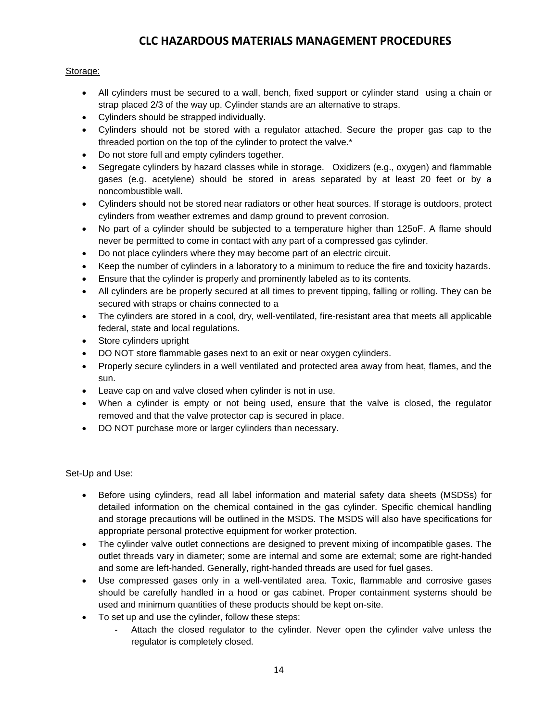### Storage:

- All cylinders must be secured to a wall, bench, fixed support [or cylinder stand](http://www.labsafety.com/search/gas%2Bcylinder%2Bstands) using a chain or strap placed 2/3 of the way up. Cylinder stands are an alternative to straps.
- Cylinders should be strapped individually.
- Cylinders should not be stored with a regulator attached. Secure the proper gas cap to the threaded portion on the top of the cylinder to protect the valve.\*
- Do not store full and empty cylinders together.
- Segregate cylinders by hazard classes while in storage. Oxidizers (e.g., oxygen) and flammable gases (e.g. acetylene) should be stored in areas separated by at least 20 feet or by a noncombustible wall.
- Cylinders should not be stored near radiators or other heat sources. If storage is outdoors, protect cylinders from weather extremes and damp ground to prevent corrosion.
- No part of a cylinder should be subjected to a temperature higher than 125oF. A flame should never be permitted to come in contact with any part of a compressed gas cylinder.
- Do not place cylinders where they may become part of an electric circuit.
- Keep the number of cylinders in a laboratory to a minimum to reduce the fire and toxicity hazards.
- Ensure that the cylinder is properly and prominently labeled as to its contents.
- All cylinders are be properly secured at all times to prevent tipping, falling or rolling. They can be secured with straps or chains connected to a
- The cylinders are stored in a cool, dry, well-ventilated, fire-resistant area that meets all applicable federal, state and local regulations.
- Store cylinders upright
- DO NOT store flammable gases next to an exit or near oxygen cylinders.
- Properly secure cylinders in a well ventilated and protected area away from heat, flames, and the sun.
- Leave cap on and valve closed when cylinder is not in use.
- When a cylinder is empty or not being used, ensure that the valve is closed, the regulator removed and that the valve protector cap is secured in place.
- DO NOT purchase more or larger cylinders than necessary.

### Set-Up and Use:

- Before using cylinders, read all label information and material safety data sheets (MSDSs) for detailed information on the chemical contained in the gas cylinder. Specific chemical handling and storage precautions will be outlined in the MSDS. The MSDS will also have specifications for appropriate personal protective equipment for worker protection.
- The cylinder valve outlet connections are designed to prevent mixing of incompatible gases. The outlet threads vary in diameter; some are internal and some are external; some are right-handed and some are left-handed. Generally, right-handed threads are used for fuel gases.
- Use compressed gases only in a well-ventilated area. Toxic, flammable and corrosive gases should be carefully handled in a hood or gas cabinet. Proper containment systems should be used and minimum quantities of these products should be kept on-site.
- To set up and use the cylinder, follow these steps:
	- Attach the closed regulator to the cylinder. Never open the cylinder valve unless the regulator is completely closed.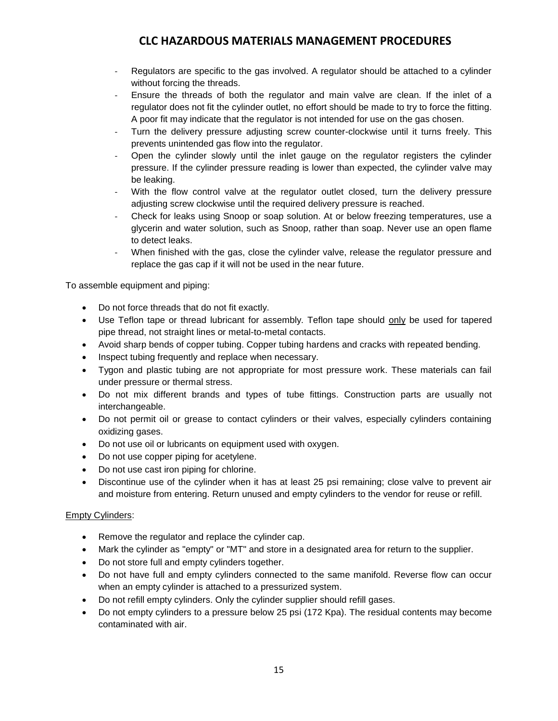- Regulators are specific to the gas involved. A regulator should be attached to a cylinder without forcing the threads.
- Ensure the threads of both the regulator and main valve are clean. If the inlet of a regulator does not fit the cylinder outlet, no effort should be made to try to force the fitting. A poor fit may indicate that the regulator is not intended for use on the gas chosen.
- Turn the delivery pressure adjusting screw counter-clockwise until it turns freely. This prevents unintended gas flow into the regulator.
- Open the cylinder slowly until the inlet gauge on the regulator registers the cylinder pressure. If the cylinder pressure reading is lower than expected, the cylinder valve may be leaking.
- With the flow control valve at the regulator outlet closed, turn the delivery pressure adjusting screw clockwise until the required delivery pressure is reached.
- Check for leaks using Snoop or soap solution. At or below freezing temperatures, use a glycerin and water solution, such as Snoop, rather than soap. Never use an open flame to detect leaks.
- When finished with the gas, close the cylinder valve, release the regulator pressure and replace the gas cap if it will not be used in the near future.

To assemble equipment and piping:

- Do not force threads that do not fit exactly.
- Use Teflon tape or thread lubricant for assembly. Teflon tape should only be used for tapered pipe thread, not straight lines or metal-to-metal contacts.
- Avoid sharp bends of copper tubing. Copper tubing hardens and cracks with repeated bending.
- Inspect tubing frequently and replace when necessary.
- Tygon and plastic tubing are not appropriate for most pressure work. These materials can fail under pressure or thermal stress.
- Do not mix different brands and types of tube fittings. Construction parts are usually not interchangeable.
- Do not permit oil or grease to contact cylinders or their valves, especially cylinders containing oxidizing gases.
- Do not use oil or lubricants on equipment used with oxygen.
- Do not use copper piping for acetylene.
- Do not use cast iron piping for chlorine.
- Discontinue use of the cylinder when it has at least 25 psi remaining; close valve to prevent air and moisture from entering. Return unused and empty cylinders to the vendor for reuse or refill.

#### Empty Cylinders:

- Remove the regulator and replace the cylinder cap.
- Mark the cylinder as "empty" or "MT" and store in a designated area for return to the supplier.
- Do not store full and empty cylinders together.
- Do not have full and empty cylinders connected to the same manifold. Reverse flow can occur when an empty cylinder is attached to a pressurized system.
- Do not refill empty cylinders. Only the cylinder supplier should refill gases.
- Do not empty cylinders to a pressure below 25 psi (172 Kpa). The residual contents may become contaminated with air.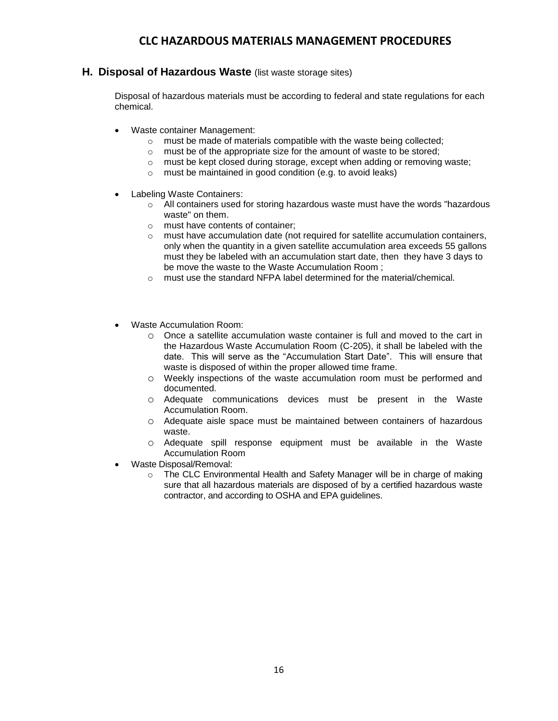### **H. Disposal of Hazardous Waste** (list waste storage sites)

Disposal of hazardous materials must be according to federal and state regulations for each chemical.

- Waste container Management:
	- o must be made of materials compatible with the waste being collected;
	- must be of the appropriate size for the amount of waste to be stored;
	- o must be kept closed during storage, except when adding or removing waste;
	- o must be maintained in good condition (e.g. to avoid leaks)
- Labeling Waste Containers:
	- $\circ$  All containers used for storing hazardous waste must have the words "hazardous" waste" on them.
	- o must have contents of container;
	- $\circ$  must have accumulation date (not required for satellite accumulation containers, only when the quantity in a given satellite accumulation area exceeds 55 gallons must they be labeled with an accumulation start date, then they have 3 days to be move the waste to the Waste Accumulation Room ;
	- o must use the standard NFPA label determined for the material/chemical.
- Waste Accumulation Room:
	- o Once a satellite accumulation waste container is full and moved to the cart in the Hazardous Waste Accumulation Room (C-205), it shall be labeled with the date. This will serve as the "Accumulation Start Date". This will ensure that waste is disposed of within the proper allowed time frame.
	- o Weekly inspections of the waste accumulation room must be performed and documented.
	- o Adequate communications devices must be present in the Waste Accumulation Room.
	- o Adequate aisle space must be maintained between containers of hazardous waste.
	- o Adequate spill response equipment must be available in the Waste Accumulation Room
- Waste Disposal/Removal:
	- $\circ$  The CLC Environmental Health and Safety Manager will be in charge of making sure that all hazardous materials are disposed of by a certified hazardous waste contractor, and according to OSHA and EPA guidelines.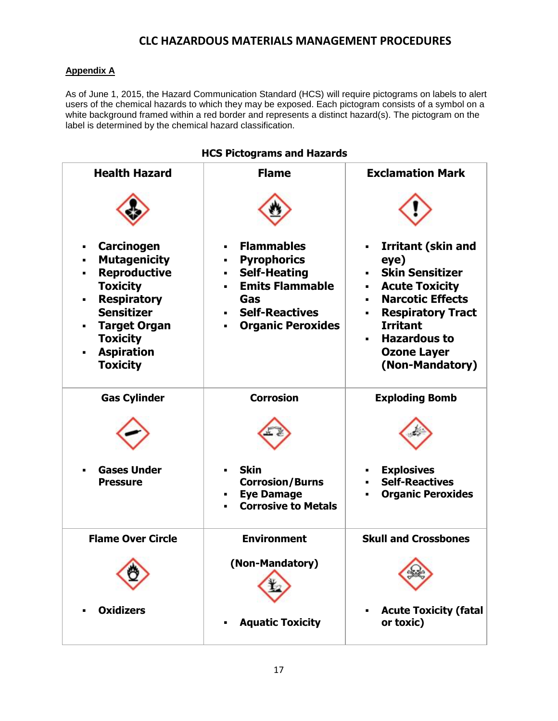### **Appendix A**

As of June 1, 2015, the Hazard Communication Standard (HCS) will require pictograms on labels to alert users of the chemical hazards to which they may be exposed. Each pictogram consists of a symbol on a white background framed within a red border and represents a distinct hazard(s). The pictogram on the label is determined by the chemical hazard classification.

#### **Health Hazard Carcinogen Mutagenicity Reproductive Toxicity Respiratory Sensitizer Target Organ Toxicity Aspiration Toxicity Flame Flammables Pyrophorics Self-Heating Emits Flammable Gas Self-Reactives Organic Peroxides Exclamation Mark Irritant (skin and eye) Skin Sensitizer Acute Toxicity Narcotic Effects Respiratory Tract Irritant Hazardous to Ozone Layer (Non-Mandatory) Gas Cylinder Gases Under Pressure Corrosion Skin Corrosion/Burns Eye Damage Corrosive to Metals Exploding Bomb Explosives Self-Reactives Organic Peroxides Flame Over Circle Oxidizers Environment (Non-Mandatory) Aquatic Toxicity Skull and Crossbones Acute Toxicity (fatal or toxic)**

### **HCS Pictograms and Hazards**